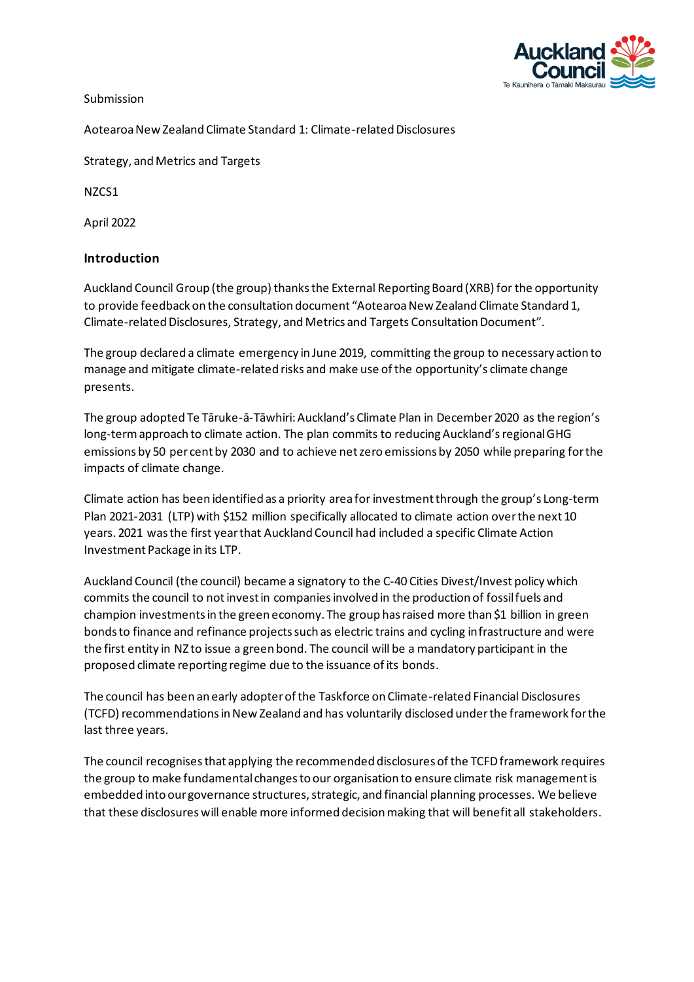

Submission

Aotearoa New Zealand Climate Standard 1: Climate-related Disclosures

Strategy, and Metrics and Targets

NZCS1

April 2022

### **Introduction**

Auckland Council Group (the group) thanksthe External Reporting Board (XRB) for the opportunity to provide feedback on the consultation document "Aotearoa New Zealand Climate Standard 1, Climate-related Disclosures, Strategy, and Metrics and Targets Consultation Document".

The group declared a climate emergency in June 2019, committing the group to necessary action to manage and mitigate climate-related risks and make use of the opportunity's climate change presents.

The group adopted Te Tāruke-ā-Tāwhiri: Auckland's Climate Plan in December2020 as the region's long-term approach to climate action. The plan commits to reducing Auckland's regional GHG emissions by 50 per cent by 2030 and to achieve net zero emissions by 2050 while preparing for the impacts of climate change.

Climate action has been identified as a priority area for investment through the group's Long-term Plan 2021-2031 (LTP) with \$152 million specifically allocated to climate action over the next 10 years. 2021 was the first year that Auckland Council had included a specific Climate Action Investment Package in its LTP.

Auckland Council (the council) became a signatory to the C-40 Cities Divest/Invest policy which commits the council to notinvest in companies involved in the production of fossil fuels and champion investments in the green economy. The group has raised more than \$1 billion in green bonds to finance and refinance projects such as electric trains and cycling infrastructure and were the first entity in NZ to issue a green bond. The council will be a mandatory participant in the proposed climate reporting regime due to the issuance of its bonds.

The council has been an early adopter of the Taskforce on Climate-related Financial Disclosures (TCFD) recommendations in New Zealand and has voluntarily disclosed under the framework for the last three years.

The council recognises that applying the recommended disclosures of the TCFD framework requires the group to make fundamental changes to our organisation to ensure climate risk management is embedded into our governance structures, strategic, and financial planning processes. We believe that these disclosures will enable more informed decision making that will benefit all stakeholders.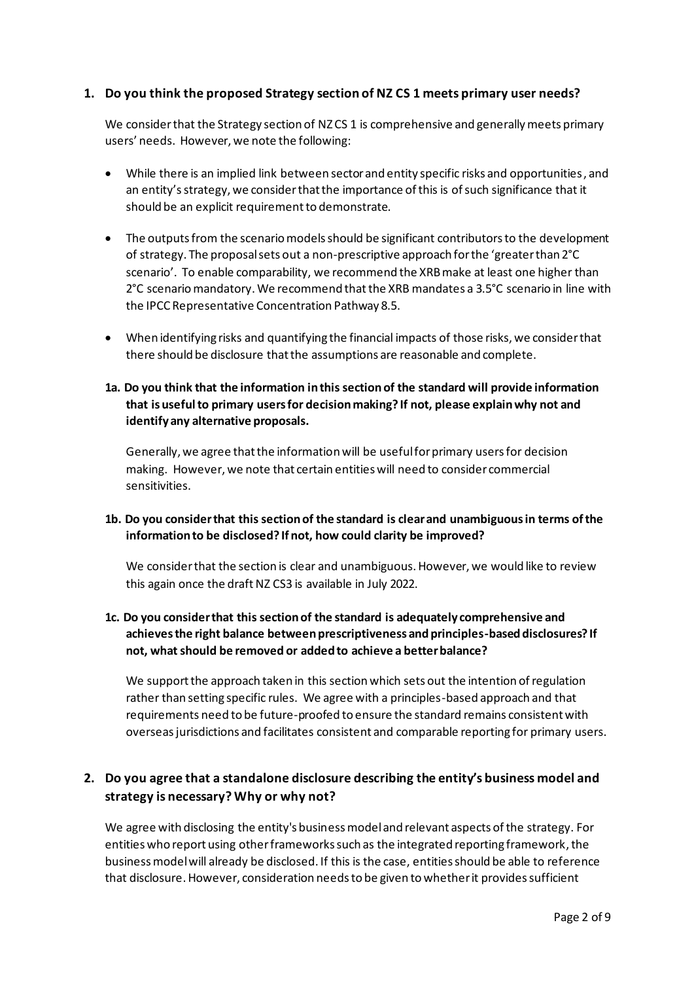### **1. Do you think the proposed Strategy section of NZ CS 1 meets primary user needs?**

We consider that the Strategy section of NZCS 1 is comprehensive and generally meets primary users' needs. However, we note the following:

- While there is an implied link between sector and entity specific risks and opportunities, and an entity'sstrategy, we consider that the importance of this is of such significance that it should be an explicit requirement to demonstrate.
- The outputs from the scenario models should be significant contributors to the development of strategy. The proposal sets out a non-prescriptive approach for the 'greater than 2°C scenario'. To enable comparability, we recommend the XRB make at least one higher than 2°C scenario mandatory. We recommend that the XRB mandates a 3.5°C scenario in line with the IPCC Representative Concentration Pathway 8.5.
- When identifying risks and quantifying the financial impacts of those risks, we consider that there should be disclosure thatthe assumptions are reasonable and complete.
- **1a. Do you think that the information in this section of the standard will provide information that is useful to primary users for decision making? If not, please explain why not and identify any alternative proposals.**

Generally, we agree that the information will be useful for primary users for decision making. However, we note that certain entities will need to consider commercial sensitivities.

### **1b. Do you consider that this section of the standard is clear and unambiguous in terms of the information to be disclosed? If not, how could clarity be improved?**

We consider that the section is clear and unambiguous. However, we would like to review this again once the draft NZ CS3 is available in July 2022.

### **1c. Do you consider that this section of the standard is adequately comprehensive and achieves the right balance between prescriptiveness and principles-based disclosures? If not, what should be removed or added to achieve a better balance?**

We support the approach taken in this section which sets out the intention of regulation rather than setting specific rules. We agree with a principles-based approach and that requirements need to be future-proofed to ensure the standard remains consistent with overseas jurisdictions and facilitates consistent and comparable reporting for primary users.

# **2. Do you agree that a standalone disclosure describing the entity's business model and strategy is necessary? Why or why not?**

We agree with disclosing the entity's business model and relevant aspects of the strategy. For entities who report using other frameworks such as the integrated reporting framework, the business model will already be disclosed. If this is the case, entities should be able to reference that disclosure. However, consideration needs to be given to whether it provides sufficient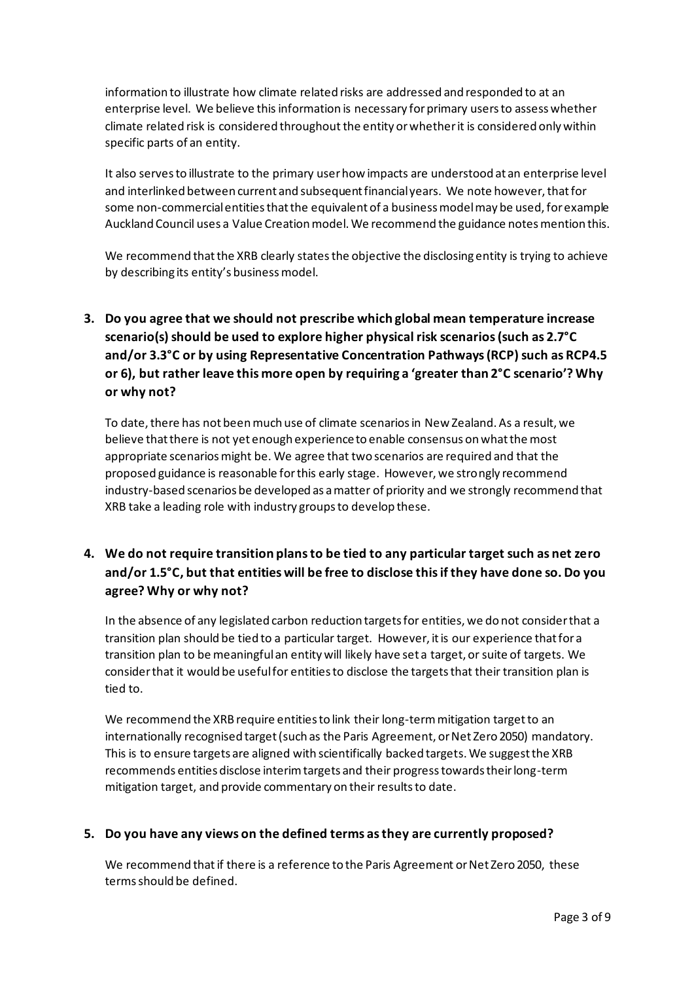information to illustrate how climate related risks are addressed and responded to at an enterprise level. We believe this information is necessary for primary users to assess whether climate related risk is considered throughout the entity or whether it is considered only within specific parts of an entity.

It also serves to illustrate to the primary user how impacts are understood at an enterprise level and interlinked between current and subsequent financial years. We note however, that for some non-commercial entities that the equivalent of a business model may be used, for example Auckland Council uses a Value Creation model. We recommend the guidance notes mention this.

We recommend that the XRB clearly states the objective the disclosing entity is trying to achieve by describing its entity's business model.

**3. Do you agree that we should not prescribe which global mean temperature increase scenario(s) should be used to explore higher physical risk scenarios (such as 2.7°C and/or 3.3°C or by using Representative Concentration Pathways (RCP) such as RCP4.5 or 6), but rather leave this more open by requiring a 'greater than 2°C scenario'? Why or why not?** 

To date, there has not been much use of climate scenarios in New Zealand. As a result, we believe that there is not yet enough experience to enable consensus on what the most appropriate scenarios might be. We agree that two scenarios are required and that the proposed guidance is reasonable for this early stage. However, we strongly recommend industry-based scenarios be developed as a matter of priority and we strongly recommend that XRB take a leading role with industry groups to develop these.

# **4. We do not require transition plans to be tied to any particular target such as net zero and/or 1.5°C, but that entities will be free to disclose this if they have done so. Do you agree? Why or why not?**

In the absence of any legislated carbon reduction targets for entities, we do not consider that a transition plan should be tied to a particular target. However, it is our experience that for a transition plan to be meaningful an entity will likely have set a target, or suite of targets. We consider that it would be useful for entities to disclose the targets that their transition plan is tied to.

We recommend the XRB require entities to link their long-term mitigation target to an internationally recognised target (such as the Paris Agreement, or Net Zero 2050) mandatory. This is to ensure targets are aligned with scientifically backed targets. We suggest the XRB recommends entities disclose interim targets and their progress towards their long-term mitigation target, and provide commentary on their results to date.

### **5. Do you have any views on the defined terms as they are currently proposed?**

We recommend that if there is a reference to the Paris Agreement or Net Zero 2050, these terms should be defined.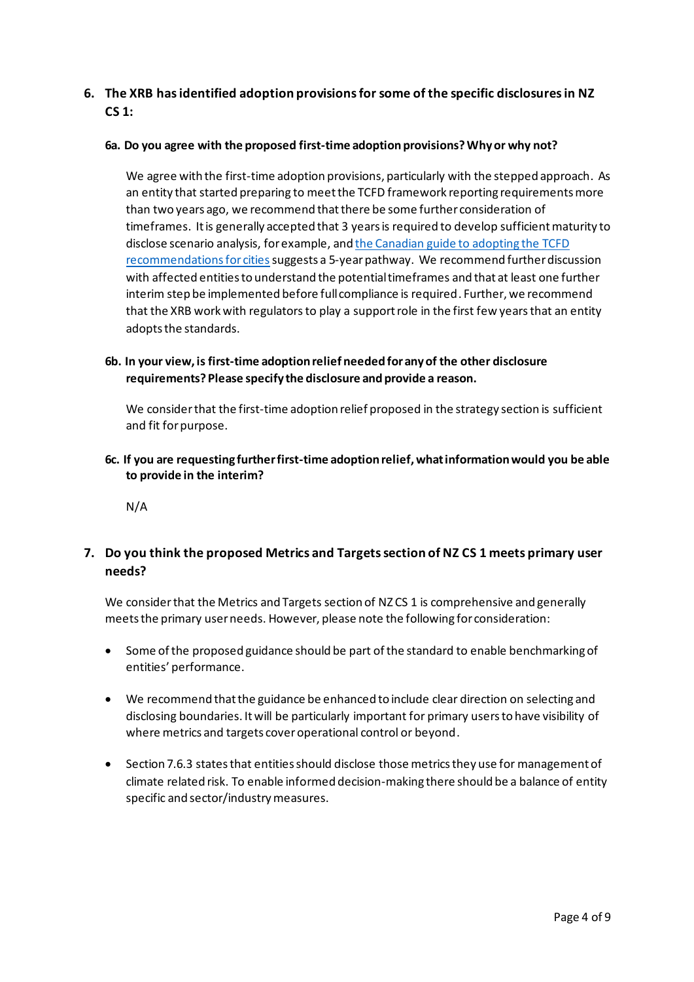# **6. The XRB has identified adoption provisions for some of the specific disclosures in NZ CS 1:**

#### **6a. Do you agree with the proposed first-time adoption provisions? Why or why not?**

We agree with the first-time adoption provisions, particularly with the stepped approach. As an entity that started preparing to meet the TCFD framework reporting requirements more than two years ago, we recommend that there be some further consideration of timeframes. It is generally accepted that 3 years is required to develop sufficient maturity to disclose scenario analysis, for example, and the Canadian guide to adopting the TCFD recommendations for cities suggests a 5-year pathway. We recommend further discussion with affected entities to understand the potential timeframes and that at least one further interim step be implemented before full compliance is required. Further, we recommend that the XRB work with regulators to play a support role in the first few years that an entity adopts the standards.

### **6b. In your view, is first-time adoption relief needed for any of the other disclosure requirements? Please specify the disclosure and provide a reason.**

We consider that the first-time adoption relief proposed in the strategy section is sufficient and fit for purpose.

**6c. If you are requesting further first-time adoption relief, what information would you be able to provide in the interim?** 

N/A

## **7. Do you think the proposed Metrics and Targets section of NZ CS 1 meets primary user needs?**

We consider that the Metrics and Targets section of NZCS 1 is comprehensive and generally meets the primary user needs. However, please note the following for consideration:

- Some of the proposed guidance should be part of the standard to enable benchmarking of entities' performance.
- We recommend that the guidance be enhanced to include clear direction on selecting and disclosing boundaries. It will be particularly important for primary users to have visibility of where metrics and targets cover operational control or beyond.
- Section 7.6.3 states that entities should disclose those metrics they use for management of climate related risk. To enable informed decision-making there should be a balance of entity specific and sector/industry measures.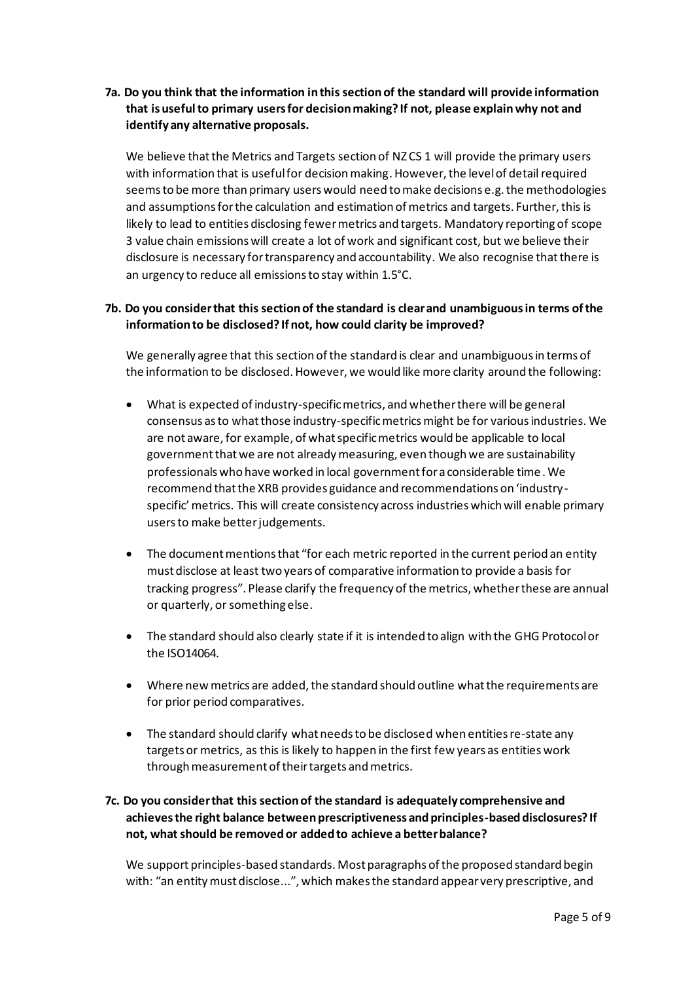**7a. Do you think that the information in this section of the standard will provide information that is useful to primary users for decision making? If not, please explain why not and identify any alternative proposals.** 

We believe that the Metrics and Targets section of NZCS 1 will provide the primary users with information that is useful for decision making. However, the level of detail required seems to be more than primary users would need to make decisions e.g. the methodologies and assumptions for the calculation and estimation of metrics and targets. Further, this is likely to lead to entities disclosing fewer metrics and targets. Mandatory reporting of scope 3 value chain emissions will create a lot of work and significant cost, but we believe their disclosure is necessary fortransparency and accountability. We also recognise that there is an urgency to reduce all emissions to stay within 1.5°C.

### **7b. Do you consider that this section of the standard is clear and unambiguous in terms of the information to be disclosed? If not, how could clarity be improved?**

We generally agree that this section of the standard is clear and unambiguous in terms of the information to be disclosed. However, we would like more clarity around the following:

- What is expected of industry-specific metrics, and whether there will be general consensus as to whatthose industry-specific metrics might be for various industries. We are not aware, for example, of what specific metrics would be applicable to local governmentthat we are not already measuring, even though we are sustainability professionals who have worked in local government for a considerable time.We recommend that the XRB provides guidance and recommendations on 'industryspecific' metrics. This will create consistency across industries which will enable primary users to make better judgements.
- The document mentions that "for each metric reported in the current period an entity must disclose at least two years of comparative information to provide a basis for tracking progress". Please clarify the frequency of the metrics, whether these are annual or quarterly, or something else.
- The standard should also clearly state if it is intended to align with the GHG Protocol or the ISO14064.
- Where new metrics are added, the standard should outline what the requirements are for prior period comparatives.
- The standard should clarify what needs to be disclosed when entities re-state any targets or metrics, as this is likely to happen in the first few years as entities work through measurement of their targets and metrics.

### **7c. Do you consider that this section of the standard is adequately comprehensive and achieves the right balance between prescriptiveness and principles-based disclosures? If not, what should be removed or added to achieve a better balance?**

We support principles-based standards. Most paragraphs of the proposed standard begin with: "an entity must disclose...", which makes the standard appear very prescriptive, and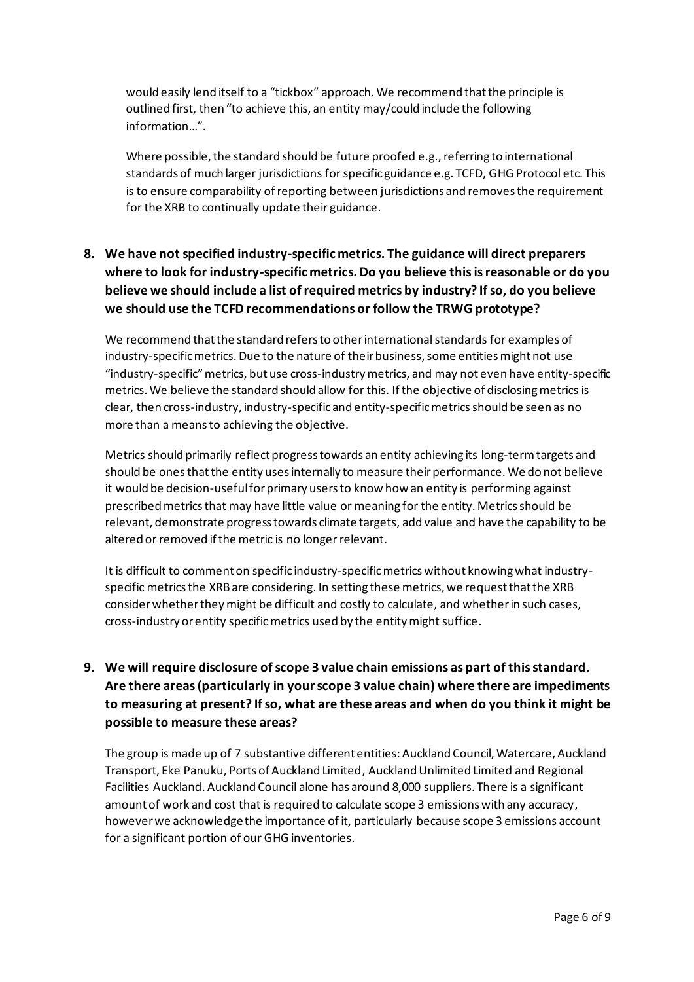would easily lend itself to a "tickbox" approach. We recommend that the principle is outlined first, then "to achieve this, an entity may/could include the following information…".

Where possible, the standard should be future proofed e.g., referring to international standards of much larger jurisdictions for specific guidance e.g. TCFD, GHG Protocol etc. This is to ensure comparability of reporting between jurisdictions and removes the requirement for the XRB to continually update their guidance.

# **8. We have not specified industry-specific metrics. The guidance will direct preparers where to look for industry-specific metrics. Do you believe this is reasonable or do you believe we should include a list of required metrics by industry? If so, do you believe we should use the TCFD recommendations or follow the TRWG prototype?**

We recommend that the standard refers to other international standards for examples of industry-specific metrics. Due to the nature of their business, some entities might not use "industry-specific" metrics, but use cross-industry metrics, and may not even have entity-specific metrics. We believe the standard should allow for this. If the objective of disclosing metrics is clear, then cross-industry, industry-specific and entity-specific metrics should be seen as no more than a meansto achieving the objective.

Metrics should primarily reflect progress towards an entity achieving its long-termtargets and should be ones thatthe entity uses internally to measure their performance. We do not believe it would be decision-useful for primary users to know how an entity is performing against prescribed metrics that may have little value or meaning for the entity. Metrics should be relevant, demonstrate progress towards climate targets, add value and have the capability to be altered or removed if the metric is no longer relevant.

It is difficult to comment on specific industry-specific metrics without knowing what industryspecific metrics the XRB are considering. In setting these metrics, we request that the XRB considerwhether they might be difficult and costly to calculate, and whether in such cases, cross-industry or entity specific metrics used by the entity might suffice.

# **9. We will require disclosure of scope 3 value chain emissions as part of this standard. Are there areas (particularly in your scope 3 value chain) where there are impediments to measuring at present? If so, what are these areas and when do you think it might be possible to measure these areas?**

The group is made up of 7 substantive different entities: Auckland Council, Watercare, Auckland Transport, Eke Panuku, Ports of Auckland Limited, Auckland Unlimited Limited and Regional Facilities Auckland. Auckland Council alone has around 8,000 suppliers. There is a significant amount of work and cost that is required to calculate scope 3 emissions with any accuracy, however we acknowledge the importance of it, particularly because scope 3 emissions account for a significant portion of our GHG inventories.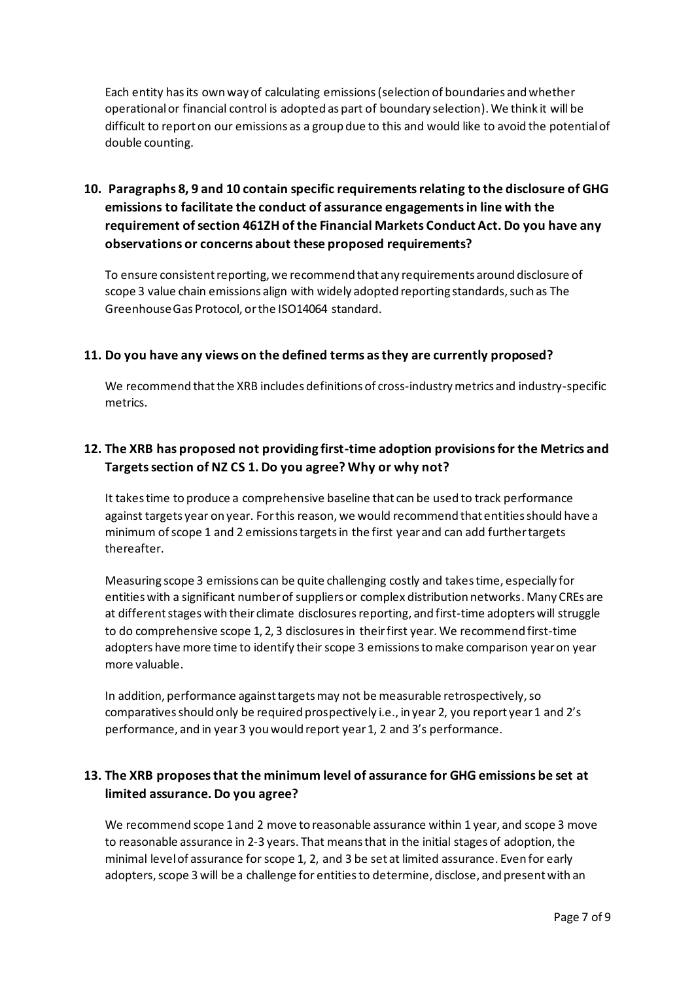Each entity has its own way of calculating emissions(selection of boundaries and whether operational or financial control is adopted as part of boundary selection). We think it will be difficult to report on our emissions as a group due to this and would like to avoid the potential of double counting.

# **10. Paragraphs 8, 9 and 10 contain specific requirements relating to the disclosure of GHG emissions to facilitate the conduct of assurance engagements in line with the requirement of section 461ZH of the Financial Markets Conduct Act. Do you have any observations or concerns about these proposed requirements?**

To ensure consistent reporting, we recommend that any requirements around disclosure of scope 3 value chain emissions align with widely adopted reporting standards, such as The Greenhouse Gas Protocol, or the ISO14064 standard.

# **11. Do you have any views on the defined terms as they are currently proposed?**

We recommend that the XRB includes definitions of cross-industry metrics and industry-specific metrics.

# **12. The XRB has proposed not providing first-time adoption provisions for the Metrics and Targets section of NZ CS 1. Do you agree? Why or why not?**

It takes time to produce a comprehensive baseline that can be used to track performance against targets year on year. For this reason, we would recommend that entities should have a minimum of scope 1 and 2 emissions targets in the first year and can add further targets thereafter.

Measuring scope 3 emissions can be quite challenging costly and takestime, especially for entities with a significant number of suppliers or complex distribution networks. Many CREs are at different stages with their climate disclosures reporting, and first-time adopters will struggle to do comprehensive scope 1, 2, 3 disclosures in theirfirst year. We recommend first-time adopters have more time to identify their scope 3 emissions to make comparison year on year more valuable.

In addition, performance against targets may not be measurable retrospectively, so comparatives should only be required prospectively i.e., in year 2, you report year 1 and 2's performance, and in year 3 you would report year 1, 2 and 3's performance.

# **13. The XRB proposes that the minimum level of assurance for GHG emissions be set at limited assurance. Do you agree?**

We recommend scope 1 and 2 move to reasonable assurance within 1 year, and scope 3 move to reasonable assurance in 2-3 years. That means that in the initial stages of adoption, the minimal level of assurance for scope 1, 2, and 3 be set at limited assurance. Even for early adopters, scope 3 will be a challenge for entitiesto determine, disclose, and present with an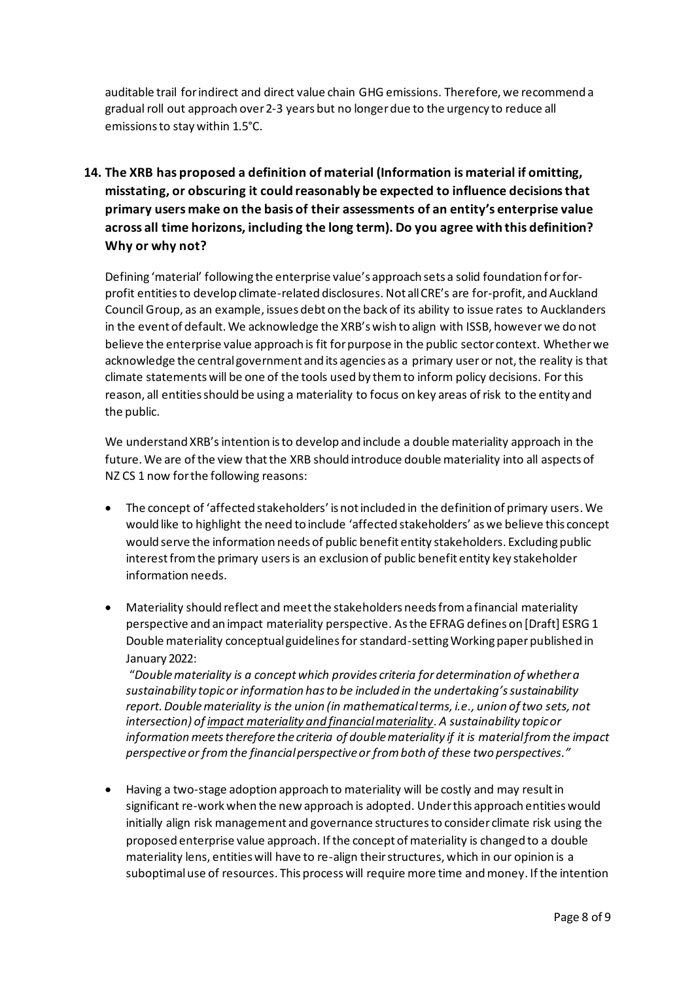auditable trail for indirect and direct value chain GHG emissions. Therefore, we recommend a gradual roll out approach over 2-3 years but no longerdue to the urgency to reduce all emissions to stay within 1.5°C.

# **14. The XRB has proposed a definition of material (Information is material if omitting, misstating, or obscuring it could reasonably be expected to influence decisions that primary users make on the basis of their assessments of an entity's enterprise value across all time horizons, including the long term). Do you agree with this definition? Why or why not?**

Defining 'material' following the enterprise value's approach sets a solid foundation for forprofit entitiesto develop climate-related disclosures. Not all CRE's are for-profit, and Auckland Council Group, as an example, issues debt on the back of its ability to issue rates to Aucklanders in the event of default. We acknowledge the XRB's wish to align with ISSB, however we do not believe the enterprise value approach is fit for purpose in the public sector context. Whether we acknowledge the central government and its agencies as a primary useror not, the reality is that climate statements will be one of the tools used by them to inform policy decisions. For this reason, all entities should be using a materiality to focus on key areas of risk to the entity and the public.

We understand XRB'sintention is to develop and include a double materiality approach in the future. We are of the view that the XRB should introduce double materiality into all aspects of NZ CS 1 now for the following reasons:

- The concept of 'affected stakeholders' is not included in the definition of primary users. We would like to highlight the need to include 'affected stakeholders' as we believe this concept would serve the information needs of public benefit entity stakeholders. Excluding public interest from the primary users is an exclusion of public benefit entity key stakeholder information needs.
- Materiality should reflect and meet the stakeholders needs from a financial materiality perspective and an impact materiality perspective. As the EFRAG defines on [Draft] ESRG 1 Double materiality conceptual guidelines for standard-setting Working paper published in January 2022:

"*Doublemateriality is a concept which provides criteria for determination of whether a sustainability topic or information has to be included in the undertaking's sustainability report. Double materiality is the union (in mathematical terms, i.e., union of two sets, not intersection) of impact materiality and financial materiality. A sustainability topic or information meets therefore the criteria of double materiality if it is material from the impact perspective or from the financial perspective or from both of these two perspectives."*

• Having a two-stage adoption approach to materiality will be costly and may result in significant re-work when the new approach is adopted. Under this approach entities would initially align risk management and governance structures to consider climate risk using the proposed enterprise value approach. If the concept of materiality is changed to a double materiality lens, entities will have to re-align their structures, which in our opinion is a suboptimaluse of resources. This process will require more time and money. If the intention